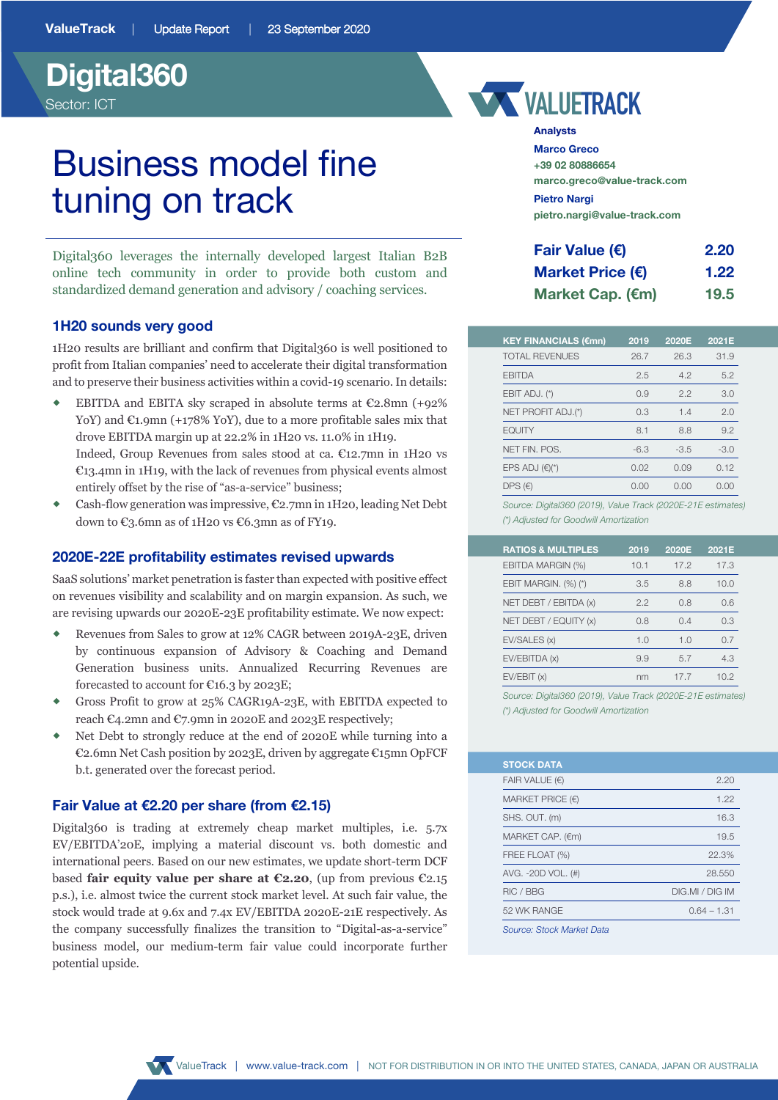## **Digital360**  Sector: ICT

# Business model fine tuning on track

Digital360 leverages the internally developed largest Italian B2B online tech community in order to provide both custom and standardized demand generation and advisory / coaching services.

#### **1H20 sounds very good**

1H20 results are brilliant and confirm that Digital360 is well positioned to profit from Italian companies' need to accelerate their digital transformation and to preserve their business activities within a covid-19 scenario. In details:

- EBITDA and EBITA sky scraped in absolute terms at  $\mathbb{C}2.8$ mn (+92%) YoY) and  $\mathfrak{C}_1$ ,9mn (+178% YoY), due to a more profitable sales mix that drove EBITDA margin up at 22.2% in 1H20 vs. 11.0% in 1H19. Indeed, Group Revenues from sales stood at ca. €12.7mn in 1H20 vs €13.4mn in 1H19, with the lack of revenues from physical events almost entirely offset by the rise of "as-a-service" business;
- Cash-flow generation was impressive, €2.7mn in 1H20, leading Net Debt down to  $\text{\textsterling}3.6\text{mn}$  as of 1H20 vs  $\text{\textsterling}6.3\text{mn}$  as of FY19.

#### **2020E-22E profitability estimates revised upwards**

SaaS solutions' market penetration is faster than expected with positive effect on revenues visibility and scalability and on margin expansion. As such, we are revising upwards our 2020E-23E profitability estimate. We now expect:

- ® Revenues from Sales to grow at 12% CAGR between 2019A-23E, driven by continuous expansion of Advisory & Coaching and Demand Generation business units. Annualized Recurring Revenues are forecasted to account for  $\mathfrak{C}16.3$  by 2023E;
- ® Gross Profit to grow at 25% CAGR19A-23E, with EBITDA expected to reach  $\mathfrak{C}_4$ .2mn and  $\mathfrak{C}_7$ .9mn in 2020E and 2023E respectively;
- Net Debt to strongly reduce at the end of 2020E while turning into a €2.6mn Net Cash position by 2023E, driven by aggregate €15mn OpFCF b.t. generated over the forecast period.

#### **Fair Value at €2.20 per share (from €2.15)**

Digital360 is trading at extremely cheap market multiples, i.e. 5.7x EV/EBITDA'20E, implying a material discount vs. both domestic and international peers. Based on our new estimates, we update short-term DCF based **fair equity value per share at €2.20**, (up from previous €2.15 p.s.), i.e. almost twice the current stock market level. At such fair value, the stock would trade at 9.6x and 7.4x EV/EBITDA 2020E-21E respectively. As the company successfully finalizes the transition to "Digital-as-a-service" business model, our medium-term fair value could incorporate further potential upside.



#### **Analysts**

**Marco Greco +39 02 80886654 marco.greco@value-track.com Pietro Nargi pietro.nargi@value-track.com**

| Fair Value (€)            | 2.20 |
|---------------------------|------|
| Market Price $(\epsilon)$ | 1.22 |
| Market Cap. (€m)          | 19.5 |

| <b>TOTAL REVENUES</b><br>26.3<br>31.9<br>26.7<br><b>EBITDA</b><br>4.2<br>5.2<br>2.5<br>EBIT ADJ. (*)<br>2.2<br>3.0<br>0.9<br>NET PROFIT ADJ.(*)<br>1.4<br>2.0<br>0.3 |
|----------------------------------------------------------------------------------------------------------------------------------------------------------------------|
|                                                                                                                                                                      |
|                                                                                                                                                                      |
|                                                                                                                                                                      |
|                                                                                                                                                                      |
| <b>EQUITY</b><br>9.2<br>8.1<br>8.8                                                                                                                                   |
| NET FIN. POS.<br>$-3.0$<br>$-6.3$<br>$-3.5$                                                                                                                          |
| EPS ADJ $(\epsilon)$ <sup>*</sup> )<br>0.02<br>0.12<br>0.09                                                                                                          |
| DPS $(E)$<br>0.00<br>0.00<br>0.00                                                                                                                                    |

*Source: Digital360 (2019), Value Track (2020E-21E estimates) (\*) Adjusted for Goodwill Amortization*

| <b>RATIOS &amp; MULTIPLES</b> | 2019 | 2020E | 2021E |
|-------------------------------|------|-------|-------|
| EBITDA MARGIN (%)             | 10.1 | 172   | 17.3  |
| EBIT MARGIN. (%) (*)          | 3.5  | 8.8   | 10.0  |
| NET DEBT / EBITDA (x)         | 2.2  | 0.8   | 0.6   |
| NET DEBT / EQUITY (x)         | 0.8  | 0.4   | 0.3   |
| EV/SALES (x)                  | 1.0  | 1.0   | 0. Z  |
| EV/EBITDA (x)                 | 9.9  | 5.7   | 4.3   |
| EV/EBIT(x)                    | nm   | 17.7  | 102   |

*Source: Digital360 (2019), Value Track (2020E-21E estimates) (\*) Adjusted for Goodwill Amortization*

| <b>STOCK DATA</b>         |                 |
|---------------------------|-----------------|
| FAIR VALUE $(\epsilon)$   | 2.20            |
| MARKET PRICE $(E)$        | 1.22            |
| SHS. OUT. (m)             | 16.3            |
| MARKET CAP. (€m)          | 19.5            |
| FREE FLOAT (%)            | 22.3%           |
| AVG. -20D VOL. (#)        | 28.550          |
| RIC / BBG                 | DIG.MI / DIG IM |
| 52 WK RANGE               | $0.64 - 1.31$   |
| Source: Stock Market Data |                 |

ValueTrack *|* www.value-track.com | NOT FOR DISTRIBUTION IN OR INTO THE UNITED STATES, CANADA, JAPAN OR AUSTRALIA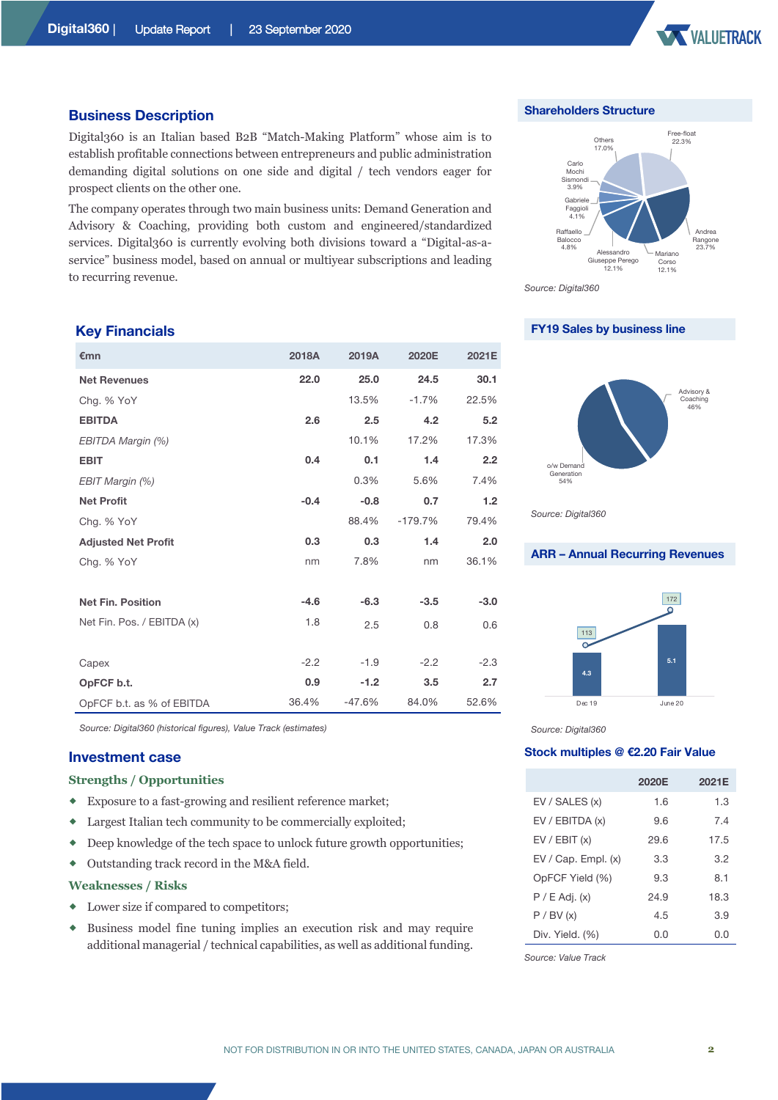

#### **Business Description**

Digital360 is an Italian based B2B "Match-Making Platform" whose aim is to establish profitable connections between entrepreneurs and public administration demanding digital solutions on one side and digital / tech vendors eager for prospect clients on the other one.

The company operates through two main business units: Demand Generation and Advisory & Coaching, providing both custom and engineered/standardized services. Digital360 is currently evolving both divisions toward a "Digital-as-aservice" business model, based on annual or multiyear subscriptions and leading to recurring revenue.

#### **Key Financials**

| €mn                        | 2018A  | 2019A    | 2020E     | 2021E  |
|----------------------------|--------|----------|-----------|--------|
| <b>Net Revenues</b>        | 22.0   | 25.0     | 24.5      | 30.1   |
| Chg. % YoY                 |        | 13.5%    | $-1.7%$   | 22.5%  |
| <b>EBITDA</b>              | 2.6    | 2.5      | 4.2       | 5.2    |
| EBITDA Margin (%)          |        | 10.1%    | 17.2%     | 17.3%  |
| <b>EBIT</b>                | 0.4    | 0.1      | 1.4       | 2.2    |
| EBIT Margin (%)            |        | 0.3%     | 5.6%      | 7.4%   |
| <b>Net Profit</b>          | $-0.4$ | $-0.8$   | 0.7       | 1.2    |
| Chg. % YoY                 |        | 88.4%    | $-179.7%$ | 79.4%  |
| <b>Adjusted Net Profit</b> | 0.3    | 0.3      | 1.4       | 2.0    |
| Chg. % YoY                 | nm     | 7.8%     | nm        | 36.1%  |
|                            |        |          |           |        |
| <b>Net Fin. Position</b>   | $-4.6$ | $-6.3$   | $-3.5$    | $-3.0$ |
| Net Fin. Pos. / EBITDA (x) | 1.8    | 2.5      | 0.8       | 0.6    |
|                            |        |          |           |        |
| Capex                      | $-2.2$ | $-1.9$   | $-2.2$    | $-2.3$ |
| OpFCF b.t.                 | 0.9    | $-1.2$   | 3.5       | 2.7    |
| OpFCF b.t. as % of EBITDA  | 36.4%  | $-47.6%$ | 84.0%     | 52.6%  |

*Source: Digital360 (historical figures), Value Track (estimates)*

#### **Investment case**

#### **Strengths / Opportunities**

- ® Exposure to a fast-growing and resilient reference market;
- ® Largest Italian tech community to be commercially exploited;
- ® Deep knowledge of the tech space to unlock future growth opportunities;
- ® Outstanding track record in the M&A field.

#### **Weaknesses / Risks**

- $\bullet$  Lower size if compared to competitors;
- ® Business model fine tuning implies an execution risk and may require additional managerial / technical capabilities, as well as additional funding.

**Shareholders Structure**



*Source: Digital360*

#### **FY19 Sales by business line**



*Source: Digital360*

### **ARR – Annual Recurring Revenues**



*Source: Digital360*

#### **Stock multiples @ €2.20 Fair Value**

|                         | 2020E | 2021E |
|-------------------------|-------|-------|
| EV / SALES (x)          | 1.6   | 1.3   |
| EV / EBITDA (x)         | 9.6   | 7.4   |
| EV / EBIT (x)           | 29.6  | 17.5  |
| $EV / Cap.$ Empl. $(x)$ | 3.3   | 3.2   |
| OpFCF Yield (%)         | 9.3   | 8.1   |
| $P / E$ Adj. $(x)$      | 24.9  | 18.3  |
| P / BV (x)              | 4.5   | 3.9   |
| Div. Yield. (%)         | O.O   | 0.0   |

*Source: Value Track*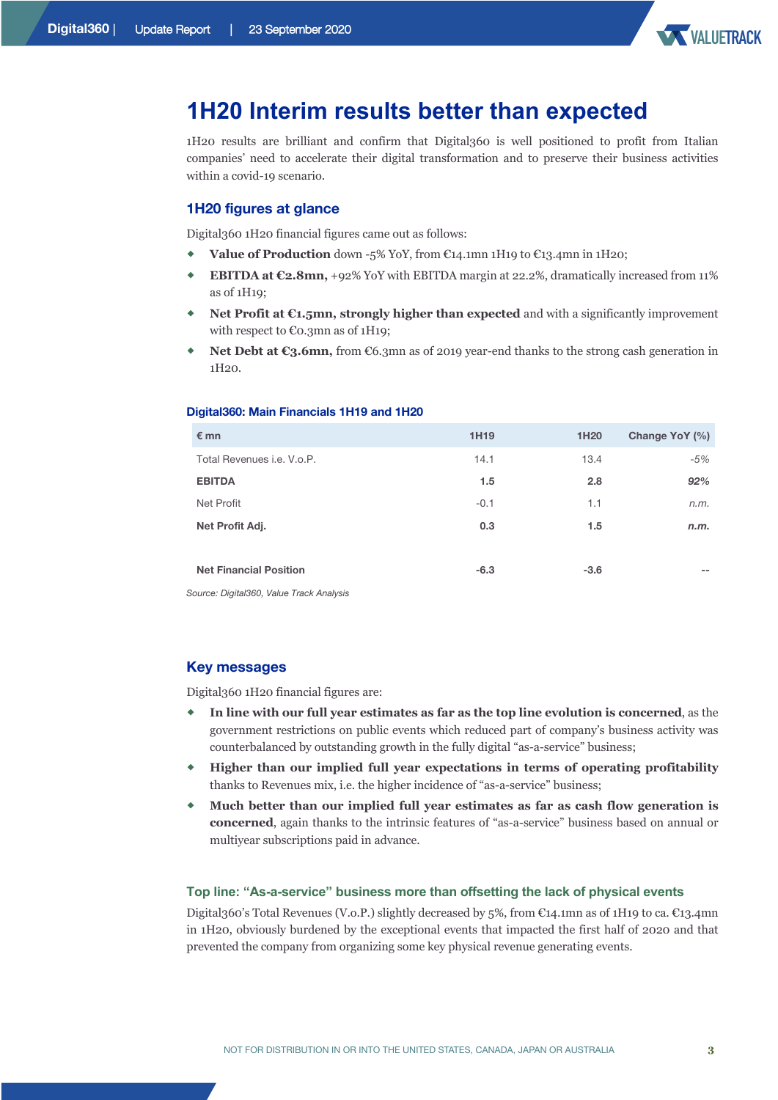

### **1H20 Interim results better than expected**

1H20 results are brilliant and confirm that Digital360 is well positioned to profit from Italian companies' need to accelerate their digital transformation and to preserve their business activities within a covid-19 scenario.

#### **1H20 figures at glance**

Digital360 1H20 financial figures came out as follows:

- ® **Value of Production** down -5% YoY, from €14.1mn 1H19 to €13.4mn in 1H20;
- ® **EBITDA at €2.8mn,** +92% YoY with EBITDA margin at 22.2%, dramatically increased from 11% as of 1H19;
- **Net Profit at €1.5mn, strongly higher than expected** and with a significantly improvement with respect to €0.3mn as of 1H19;
- **Net Debt at €3.6mn,** from €6.3mn as of 2019 year-end thanks to the strong cash generation in 1H20.

#### **Digital360: Main Financials 1H19 and 1H20**

| $\epsilon$ mn                     | 1H <sub>19</sub> | 1H <sub>20</sub> | Change YoY (%) |
|-----------------------------------|------------------|------------------|----------------|
| Total Revenues <i>i.e.</i> V.o.P. | 14.1             | 13.4             | $-5%$          |
| <b>EBITDA</b>                     | 1.5              | 2.8              | 92%            |
| Net Profit                        | $-0.1$           | 1.1              | n.m.           |
| Net Profit Adj.                   | 0.3              | 1.5              | n.m.           |
|                                   |                  |                  |                |
| <b>Net Financial Position</b>     | $-6.3$           | $-3.6$           | $- -$          |

*Source: Digital360, Value Track Analysis*

#### **Key messages**

Digital360 1H20 financial figures are:

- In line with our full year estimates as far as the top line evolution is concerned, as the government restrictions on public events which reduced part of company's business activity was counterbalanced by outstanding growth in the fully digital "as-a-service" business;
- ® **Higher than our implied full year expectations in terms of operating profitability** thanks to Revenues mix, i.e. the higher incidence of "as-a-service" business;
- ® **Much better than our implied full year estimates as far as cash flow generation is concerned**, again thanks to the intrinsic features of "as-a-service" business based on annual or multiyear subscriptions paid in advance.

#### **Top line: "As-a-service" business more than offsetting the lack of physical events**

Digital360's Total Revenues (V.o.P.) slightly decreased by 5%, from €14.1mn as of 1H19 to ca. €13.4mn in 1H20, obviously burdened by the exceptional events that impacted the first half of 2020 and that prevented the company from organizing some key physical revenue generating events.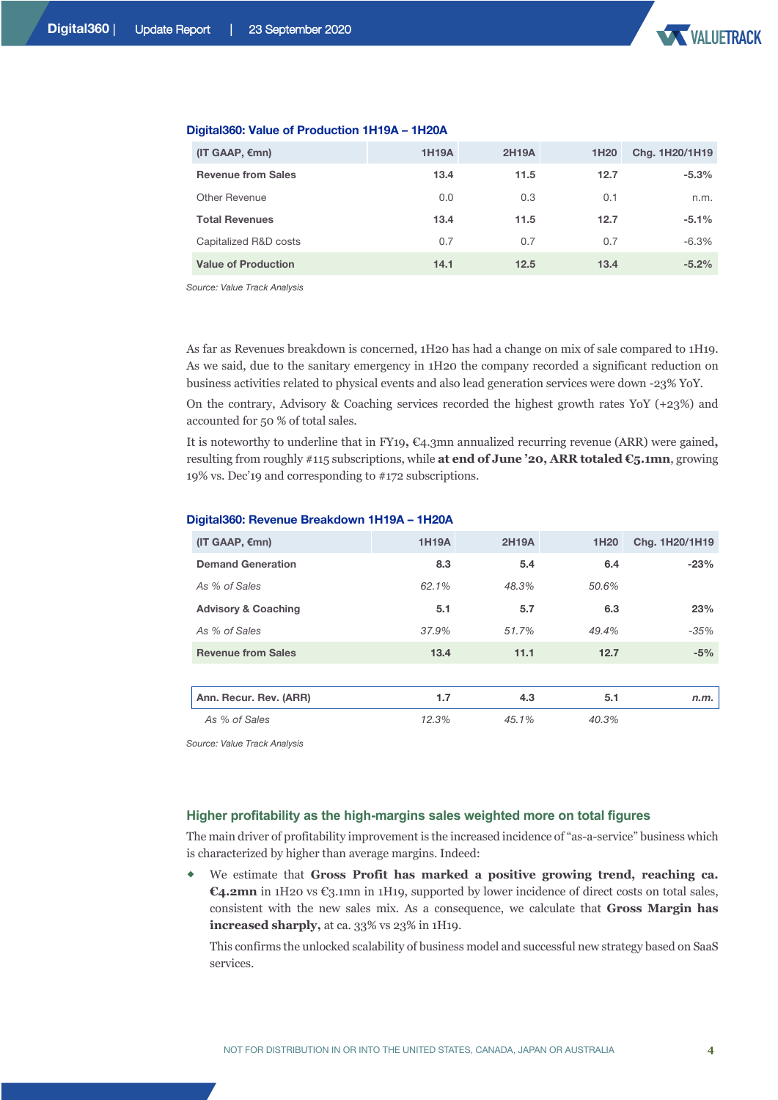| $(IT GAAP, \epsilon mn)$   | <b>1H19A</b> | <b>2H19A</b> | 1H <sub>20</sub> | Chg. 1H20/1H19 |
|----------------------------|--------------|--------------|------------------|----------------|
| <b>Revenue from Sales</b>  | 13.4         | 11.5         | 12.7             | $-5.3%$        |
| Other Revenue              | 0.0          | 0.3          | 0.1              | n.m.           |
| <b>Total Revenues</b>      | 13.4         | 11.5         | 12.7             | $-5.1%$        |
| Capitalized R&D costs      | 0.7          | 0.7          | 0.7              | $-6.3%$        |
| <b>Value of Production</b> | 14.1         | 12.5         | 13.4             | $-5.2\%$       |

#### **Digital360: Value of Production 1H19A – 1H20A**

*Source: Value Track Analysis* 

As far as Revenues breakdown is concerned, 1H20 has had a change on mix of sale compared to 1H19. As we said, due to the sanitary emergency in 1H20 the company recorded a significant reduction on business activities related to physical events and also lead generation services were down -23% YoY.

On the contrary, Advisory & Coaching services recorded the highest growth rates YoY (+23%) and accounted for 50 % of total sales.

It is noteworthy to underline that in FY19**,** €4.3mn annualized recurring revenue (ARR) were gained**,** resulting from roughly #115 subscriptions, while **at end of June '20, ARR totaled €5.1mn**, growing 19% vs. Dec'19 and corresponding to #172 subscriptions.

| (IT GAAP, $\varepsilon$ mn)    | <b>1H19A</b> | <b>2H19A</b> | 1H <sub>20</sub> | Chg. 1H20/1H19 |
|--------------------------------|--------------|--------------|------------------|----------------|
| <b>Demand Generation</b>       | 8.3          | 5.4          | 6.4              | $-23%$         |
| As % of Sales                  | 62.1%        | 48.3%        | 50.6%            |                |
| <b>Advisory &amp; Coaching</b> | 5.1          | 5.7          | 6.3              | 23%            |
| As % of Sales                  | 37.9%        | 51.7%        | 49.4%            | $-35%$         |
| <b>Revenue from Sales</b>      | 13.4         | 11.1         | 12.7             | $-5%$          |
|                                |              |              |                  |                |
| Ann. Recur. Rev. (ARR)         | 1.7          | 4.3          | 5.1              | n.m.           |
| As % of Sales                  | 12.3%        | 45.1%        | 40.3%            |                |

#### **Digital360: Revenue Breakdown 1H19A – 1H20A**

*Source: Value Track Analysis* 

#### **Higher profitability as the high-margins sales weighted more on total figures**

The main driver of profitability improvement is the increased incidence of "as-a-service" business which is characterized by higher than average margins. Indeed:

® We estimate that **Gross Profit has marked a positive growing trend, reaching ca. €4.2mn** in 1H20 vs €3.1mn in 1H19, supported by lower incidence of direct costs on total sales, consistent with the new sales mix. As a consequence, we calculate that **Gross Margin has increased sharply,** at ca. 33% vs 23% in 1H19.

This confirms the unlocked scalability of business model and successful new strategy based on SaaS services.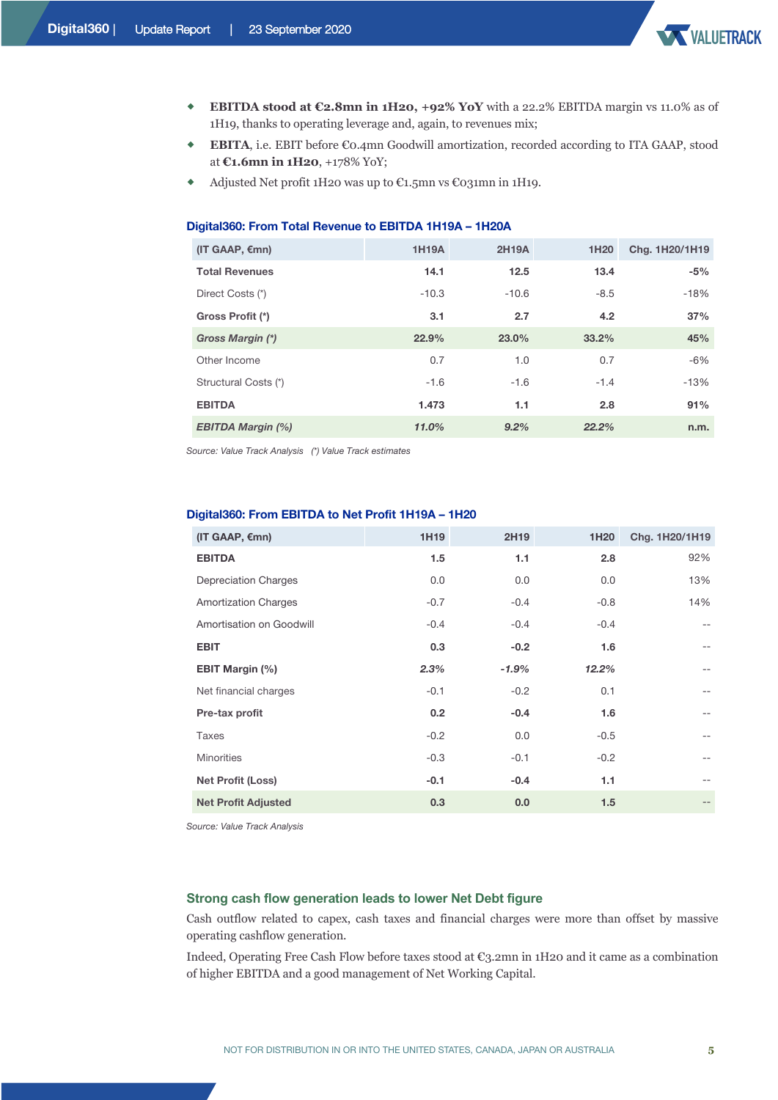

- ® **EBITDA stood at €2.8mn in 1H20, +92% YoY** with a 22.2% EBITDA margin vs 11.0% as of 1H19, thanks to operating leverage and, again, to revenues mix;
- ® **EBITA**, i.e. EBIT before €0.4mn Goodwill amortization, recorded according to ITA GAAP, stood at **€1.6mn in 1H20**, +178% YoY;
- ® Adjusted Net profit 1H20 was up to €1.5mn vs €031mn in 1H19.

#### **Digital360: From Total Revenue to EBITDA 1H19A – 1H20A**

| (IT GAAP, $\varepsilon$ mn) | <b>1H19A</b> | <b>2H19A</b> | 1H <sub>20</sub> | Chg. 1H20/1H19 |
|-----------------------------|--------------|--------------|------------------|----------------|
| <b>Total Revenues</b>       | 14.1         | 12.5         | 13.4             | $-5%$          |
| Direct Costs (*)            | $-10.3$      | $-10.6$      | $-8.5$           | $-18%$         |
| Gross Profit (*)            | 3.1          | 2.7          | 4.2              | 37%            |
| Gross Margin (*)            | 22.9%        | 23.0%        | 33.2%            | 45%            |
| Other Income                | 0.7          | 1.0          | 0.7              | $-6\%$         |
| Structural Costs (*)        | $-1.6$       | $-1.6$       | $-1.4$           | $-13%$         |
| <b>EBITDA</b>               | 1.473        | 1.1          | 2.8              | 91%            |
| <b>EBITDA Margin (%)</b>    | 11.0%        | 9.2%         | 22.2%            | n.m.           |

*Source: Value Track Analysis (\*) Value Track estimates*

| (IT GAAP, $\varepsilon$ mn) | 1H <sub>19</sub> | 2H19    | 1H <sub>20</sub> | Chg. 1H20/1H19 |
|-----------------------------|------------------|---------|------------------|----------------|
| <b>EBITDA</b>               | 1.5              | 1.1     | 2.8              | 92%            |
| <b>Depreciation Charges</b> | 0.0              | 0.0     | 0.0              | 13%            |
| <b>Amortization Charges</b> | $-0.7$           | $-0.4$  | $-0.8$           | 14%            |
| Amortisation on Goodwill    | $-0.4$           | $-0.4$  | $-0.4$           | $- -$          |
| <b>EBIT</b>                 | 0.3              | $-0.2$  | 1.6              | $- -$          |
| <b>EBIT Margin (%)</b>      | 2.3%             | $-1.9%$ | 12.2%            | $- -$          |
| Net financial charges       | $-0.1$           | $-0.2$  | 0.1              | $- -$          |
| Pre-tax profit              | 0.2              | $-0.4$  | 1.6              | $- -$          |
| Taxes                       | $-0.2$           | 0.0     | $-0.5$           | $- -$          |
| <b>Minorities</b>           | $-0.3$           | $-0.1$  | $-0.2$           | $- -$          |
| <b>Net Profit (Loss)</b>    | $-0.1$           | $-0.4$  | 1.1              | $- -$          |
| <b>Net Profit Adjusted</b>  | 0.3              | 0.0     | 1.5              | $- -$          |

#### **Digital360: From EBITDA to Net Profit 1H19A – 1H20**

*Source: Value Track Analysis* 

#### **Strong cash flow generation leads to lower Net Debt figure**

Cash outflow related to capex, cash taxes and financial charges were more than offset by massive operating cashflow generation.

Indeed, Operating Free Cash Flow before taxes stood at €3.2mn in 1H20 and it came as a combination of higher EBITDA and a good management of Net Working Capital.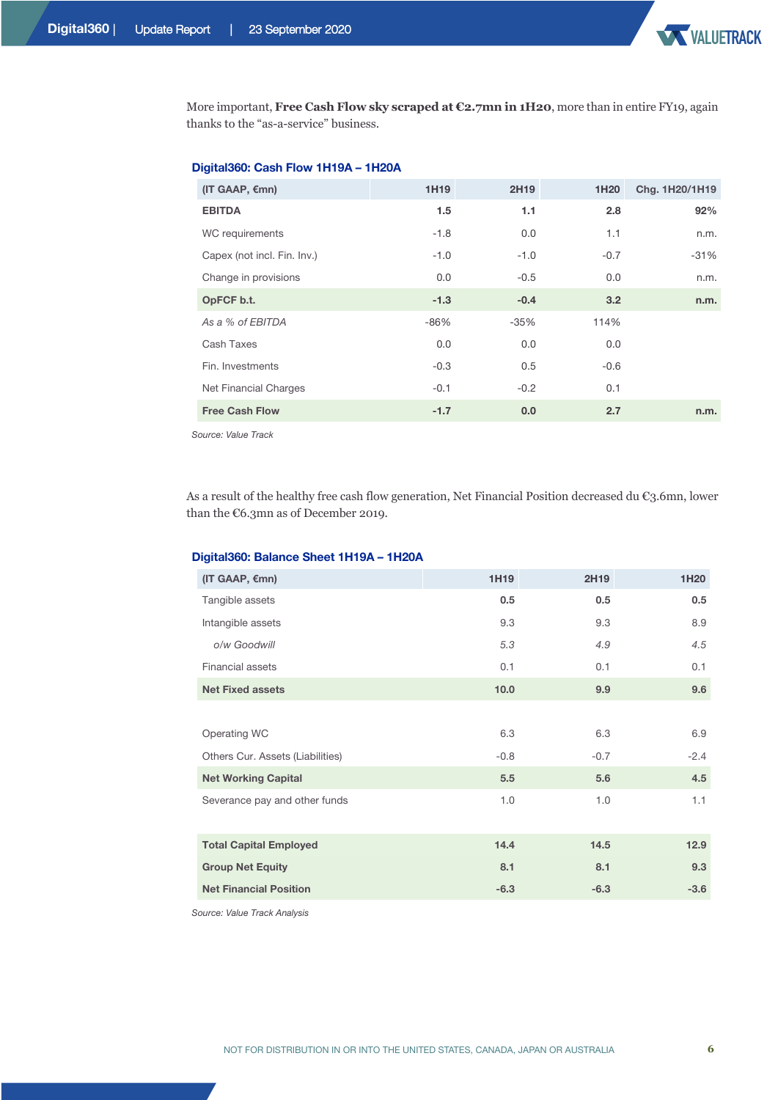More important, **Free Cash Flow sky scraped at €2.7mn in 1H20**, more than in entire FY19, again thanks to the "as-a-service" business.

#### **Digital360: Cash Flow 1H19A – 1H20A**

| (IT GAAP, $\varepsilon$ mn) | 1H <sub>19</sub> | 2H <sub>19</sub> | 1H <sub>20</sub> | Chg. 1H20/1H19 |
|-----------------------------|------------------|------------------|------------------|----------------|
| <b>EBITDA</b>               | 1.5              | 1.1              | 2.8              | 92%            |
| WC requirements             | $-1.8$           | 0.0              | 1.1              | n.m.           |
| Capex (not incl. Fin. Inv.) | $-1.0$           | $-1.0$           | $-0.7$           | -31%           |
| Change in provisions        | 0.0              | $-0.5$           | 0.0              | n.m.           |
| OpFCF b.t.                  | $-1.3$           | $-0.4$           | 3.2              | n.m.           |
| As a % of EBITDA            | $-86%$           | $-35%$           | 114%             |                |
| Cash Taxes                  | 0.0              | 0.0              | 0.0              |                |
| Fin. Investments            | $-0.3$           | 0.5              | $-0.6$           |                |
| Net Financial Charges       | $-0.1$           | $-0.2$           | 0.1              |                |
| <b>Free Cash Flow</b>       | $-1.7$           | 0.0              | 2.7              | n.m.           |
|                             |                  |                  |                  |                |

*Source: Value Track* 

As a result of the healthy free cash flow generation, Net Financial Position decreased du €3.6mn, lower than the €6.3mn as of December 2019.

#### **Digital360: Balance Sheet 1H19A – 1H20A**

| (IT GAAP, $\varepsilon$ mn)      | 1H19   | 2H19   | 1H <sub>20</sub> |
|----------------------------------|--------|--------|------------------|
| Tangible assets                  | 0.5    | 0.5    | 0.5              |
| Intangible assets                | 9.3    | 9.3    | 8.9              |
| o/w Goodwill                     | 5.3    | 4.9    | 4.5              |
| <b>Financial assets</b>          | 0.1    | 0.1    | 0.1              |
| <b>Net Fixed assets</b>          | 10.0   | 9.9    | 9.6              |
|                                  |        |        |                  |
| Operating WC                     | 6.3    | 6.3    | 6.9              |
| Others Cur. Assets (Liabilities) | $-0.8$ | $-0.7$ | $-2.4$           |
| <b>Net Working Capital</b>       | 5.5    | 5.6    | 4.5              |
| Severance pay and other funds    | 1.0    | 1.0    | 1.1              |
|                                  |        |        |                  |
| <b>Total Capital Employed</b>    | 14.4   | 14.5   | 12.9             |
| <b>Group Net Equity</b>          | 8.1    | 8.1    | 9.3              |
| <b>Net Financial Position</b>    | $-6.3$ | $-6.3$ | $-3.6$           |

*Source: Value Track Analysis* 

**VALUETRACK**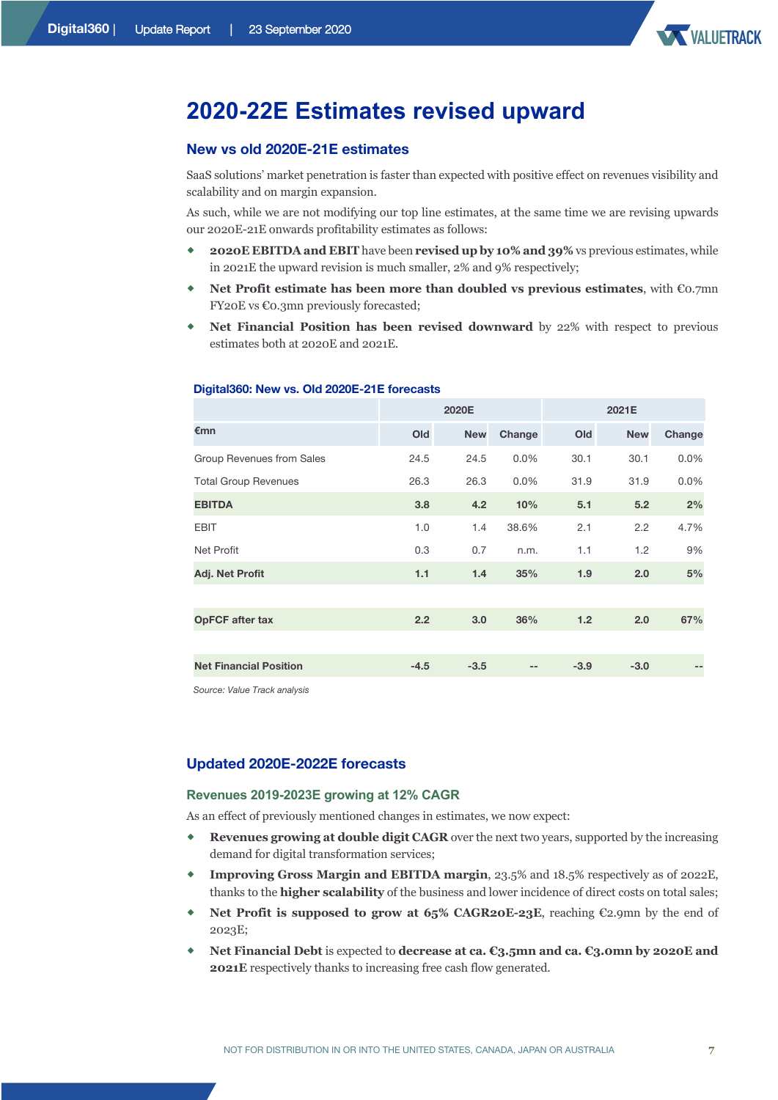

### **2020-22E Estimates revised upward**

#### **New vs old 2020E-21E estimates**

SaaS solutions' market penetration is faster than expected with positive effect on revenues visibility and scalability and on margin expansion.

As such, while we are not modifying our top line estimates, at the same time we are revising upwards our 2020E-21E onwards profitability estimates as follows:

- ® **2020E EBITDA and EBIT** have been **revised up by 10% and 39%** vs previous estimates, while in 2021E the upward revision is much smaller, 2% and 9% respectively;
- ® **Net Profit estimate has been more than doubled vs previous estimates**, with €0.7mn FY20E vs €0.3mn previously forecasted;
- ® **Net Financial Position has been revised downward** by 22% with respect to previous estimates both at 2020E and 2021E.

|                               |        | 2020E      |         |        | 2021E      |         |
|-------------------------------|--------|------------|---------|--------|------------|---------|
| €mn                           | Old    | <b>New</b> | Change  | Old    | <b>New</b> | Change  |
| Group Revenues from Sales     | 24.5   | 24.5       | 0.0%    | 30.1   | 30.1       | $0.0\%$ |
| <b>Total Group Revenues</b>   | 26.3   | 26.3       | $0.0\%$ | 31.9   | 31.9       | $0.0\%$ |
| <b>EBITDA</b>                 | 3.8    | 4.2        | 10%     | 5.1    | 5.2        | 2%      |
| <b>EBIT</b>                   | 1.0    | 1.4        | 38.6%   | 2.1    | 2.2        | 4.7%    |
| Net Profit                    | 0.3    | 0.7        | n.m.    | 1.1    | 1.2        | 9%      |
| Adj. Net Profit               | 1.1    | 1.4        | 35%     | 1.9    | 2.0        | 5%      |
|                               |        |            |         |        |            |         |
| <b>OpFCF</b> after tax        | 2.2    | 3.0        | 36%     | 1.2    | 2.0        | 67%     |
|                               |        |            |         |        |            |         |
| <b>Net Financial Position</b> | $-4.5$ | $-3.5$     |         | $-3.9$ | $-3.0$     | --      |

#### **Digital360: New vs. Old 2020E-21E forecasts**

*Source: Value Track analysis*

#### **Updated 2020E-2022E forecasts**

#### **Revenues 2019-2023E growing at 12% CAGR**

As an effect of previously mentioned changes in estimates, we now expect:

- ® **Revenues growing at double digit CAGR** over the next two years, supported by the increasing demand for digital transformation services;
- ® **Improving Gross Margin and EBITDA margin**, 23.5% and 18.5% respectively as of 2022E, thanks to the **higher scalability** of the business and lower incidence of direct costs on total sales;
- **Net Profit is supposed to grow at 65% CAGR20E-23E**, reaching €2.9mn by the end of 2023E;
- ® **Net Financial Debt** is expected to **decrease at ca. €3.5mn and ca. €3.0mn by 2020E and 2021E** respectively thanks to increasing free cash flow generated.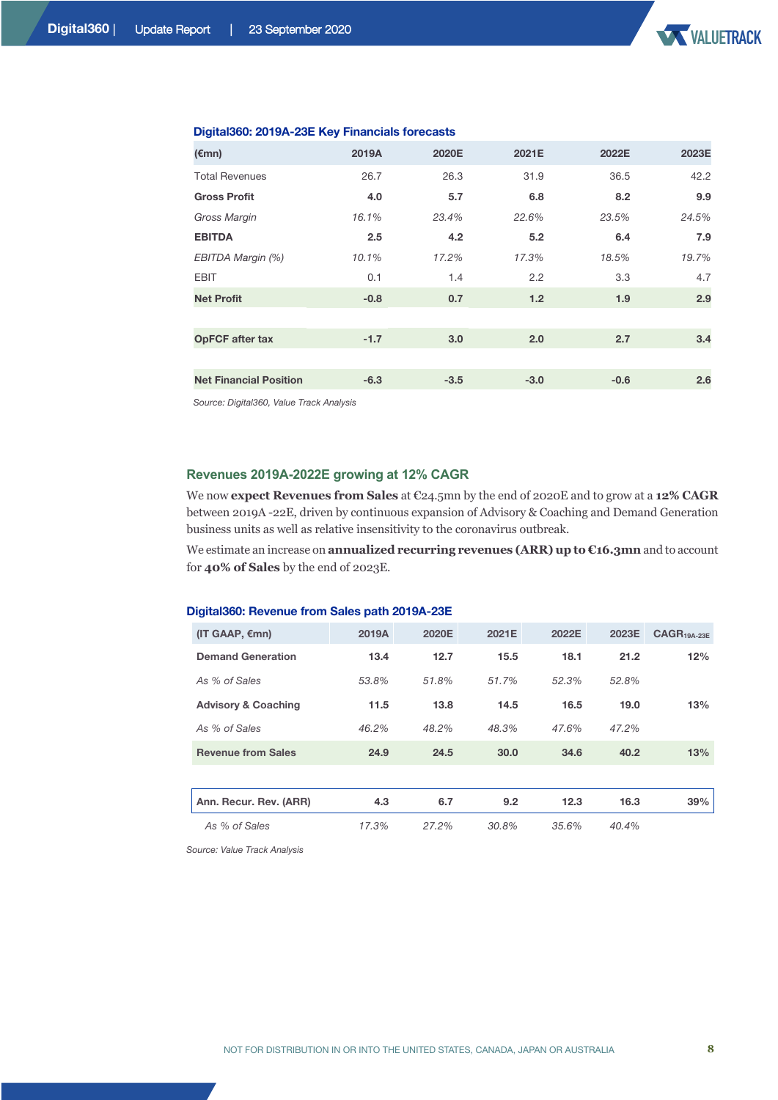| 2019A  | 2020E  | 2021E  | 2022E  | 2023E |
|--------|--------|--------|--------|-------|
| 26.7   | 26.3   | 31.9   | 36.5   | 42.2  |
| 4.0    | 5.7    | 6.8    | 8.2    | 9.9   |
| 16.1%  | 23.4%  | 22.6%  | 23.5%  | 24.5% |
| 2.5    | 4.2    | 5.2    | 6.4    | 7.9   |
| 10.1%  | 17.2%  | 17.3%  | 18.5%  | 19.7% |
| 0.1    | 1.4    | 2.2    | 3.3    | 4.7   |
| $-0.8$ | 0.7    | 1.2    | 1.9    | 2.9   |
|        |        |        |        |       |
| $-1.7$ | 3.0    | 2.0    | 2.7    | 3.4   |
|        |        |        |        |       |
| $-6.3$ | $-3.5$ | $-3.0$ | $-0.6$ | 2.6   |
|        |        |        |        |       |

#### **Digital360: 2019A-23E Key Financials forecasts**

*Source: Digital360, Value Track Analysis* 

#### **Revenues 2019A-2022E growing at 12% CAGR**

We now **expect Revenues from Sales** at €24.5mn by the end of 2020E and to grow at a **12% CAGR**  between 2019A -22E, driven by continuous expansion of Advisory & Coaching and Demand Generation business units as well as relative insensitivity to the coronavirus outbreak.

We estimate an increase on **annualized recurring revenues (ARR) up to €16.3mn** and to account for **40% of Sales** by the end of 2023E.

#### **Digital360: Revenue from Sales path 2019A-23E**

| (IT GAAP, $\varepsilon$ mn)    | 2019A | 2020E | 2021E | 2022E | 2023E | $CAGR19A-23F$ |
|--------------------------------|-------|-------|-------|-------|-------|---------------|
| <b>Demand Generation</b>       | 13.4  | 12.7  | 15.5  | 18.1  | 21.2  | 12%           |
| As % of Sales                  | 53.8% | 51.8% | 51.7% | 52.3% | 52.8% |               |
| <b>Advisory &amp; Coaching</b> | 11.5  | 13.8  | 14.5  | 16.5  | 19.0  | 13%           |
| As % of Sales                  | 46.2% | 48.2% | 48.3% | 47.6% | 47.2% |               |
| <b>Revenue from Sales</b>      | 24.9  | 24.5  | 30.0  | 34.6  | 40.2  | 13%           |
|                                |       |       |       |       |       |               |
| Ann. Recur. Rev. (ARR)         | 4.3   | 6.7   | 9.2   | 12.3  | 16.3  | 39%           |
| As % of Sales                  | 17.3% | 27.2% | 30.8% | 35.6% | 40.4% |               |

*Source: Value Track Analysis*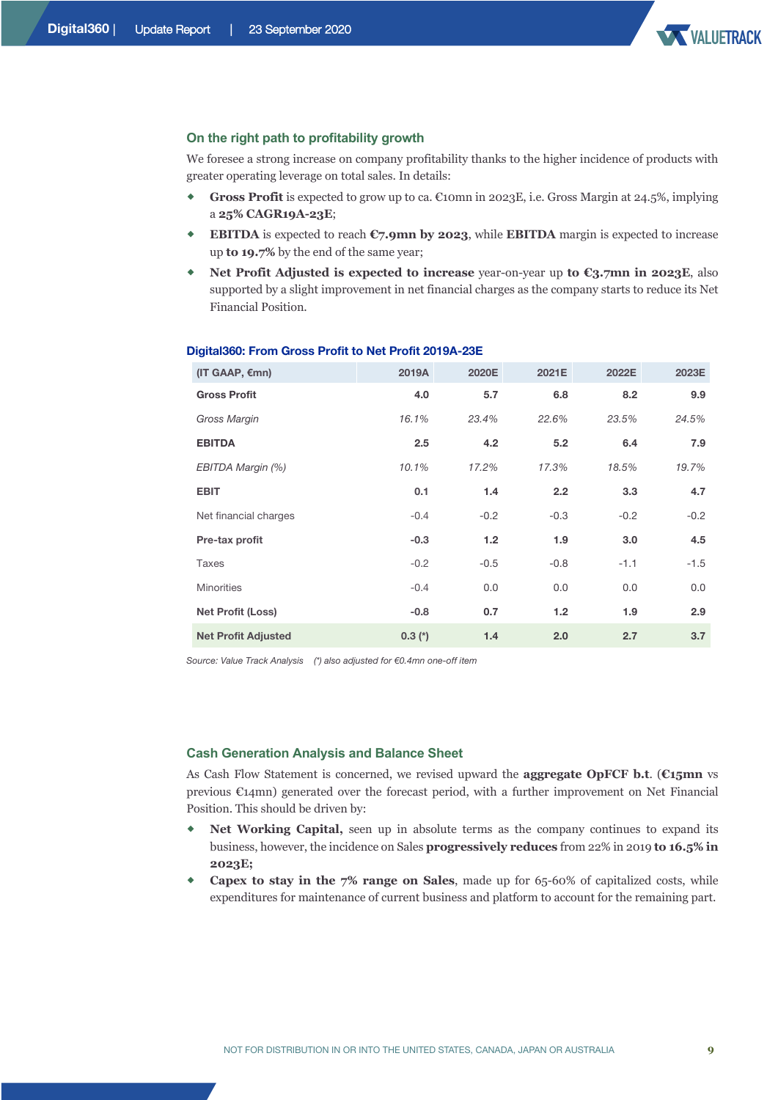

#### **On the right path to profitability growth**

We foresee a strong increase on company profitability thanks to the higher incidence of products with greater operating leverage on total sales. In details:

- ® **Gross Profit** is expected to grow up to ca. €10mn in 2023E, i.e. Gross Margin at 24.5%, implying a **25% CAGR19A-23E**;
- **EBITDA** is expected to reach  $\mathfrak{C}_7$ , 9mn by 2023, while **EBITDA** margin is expected to increase up **to 19.7%** by the end of the same year;
- ® **Net Profit Adjusted is expected to increase** year-on-year up **to €3.7mn in 2023E**, also supported by a slight improvement in net financial charges as the company starts to reduce its Net Financial Position.

| $(IT GAAP, \epsilon mn)$   | 2019A    | 2020E  | 2021E         | 2022E  | 2023E  |
|----------------------------|----------|--------|---------------|--------|--------|
| <b>Gross Profit</b>        | 4.0      | 5.7    | 6.8           | 8.2    | 9.9    |
| Gross Margin               | 16.1%    | 23.4%  | 22.6%         | 23.5%  | 24.5%  |
| <b>EBITDA</b>              | 2.5      | 4.2    | 5.2           | 6.4    | 7.9    |
| EBITDA Margin (%)          | 10.1%    | 17.2%  | 17.3%         | 18.5%  | 19.7%  |
| <b>EBIT</b>                | 0.1      | 1.4    | $2.2^{\circ}$ | 3.3    | 4.7    |
| Net financial charges      | $-0.4$   | $-0.2$ | $-0.3$        | $-0.2$ | $-0.2$ |
| Pre-tax profit             | $-0.3$   | 1.2    | 1.9           | 3.0    | 4.5    |
| Taxes                      | $-0.2$   | $-0.5$ | $-0.8$        | $-1.1$ | $-1.5$ |
| <b>Minorities</b>          | $-0.4$   | 0.0    | 0.0           | 0.0    | 0.0    |
| <b>Net Profit (Loss)</b>   | $-0.8$   | 0.7    | 1.2           | 1.9    | 2.9    |
| <b>Net Profit Adjusted</b> | $0.3(*)$ | 1.4    | 2.0           | 2.7    | 3.7    |

#### **Digital360: From Gross Profit to Net Profit 2019A-23E**

*Source: Value Track Analysis (\*) also adjusted for €0.4mn one-off item*

#### **Cash Generation Analysis and Balance Sheet**

As Cash Flow Statement is concerned, we revised upward the **aggregate OpFCF b.t**. (**€15mn** vs previous €14mn) generated over the forecast period, with a further improvement on Net Financial Position. This should be driven by:

- **Net Working Capital,** seen up in absolute terms as the company continues to expand its business, however, the incidence on Sales **progressively reduces** from 22% in 2019 **to 16.5% in 2023E;**
- ® **Capex to stay in the 7% range on Sales**, made up for 65-60% of capitalized costs, while expenditures for maintenance of current business and platform to account for the remaining part.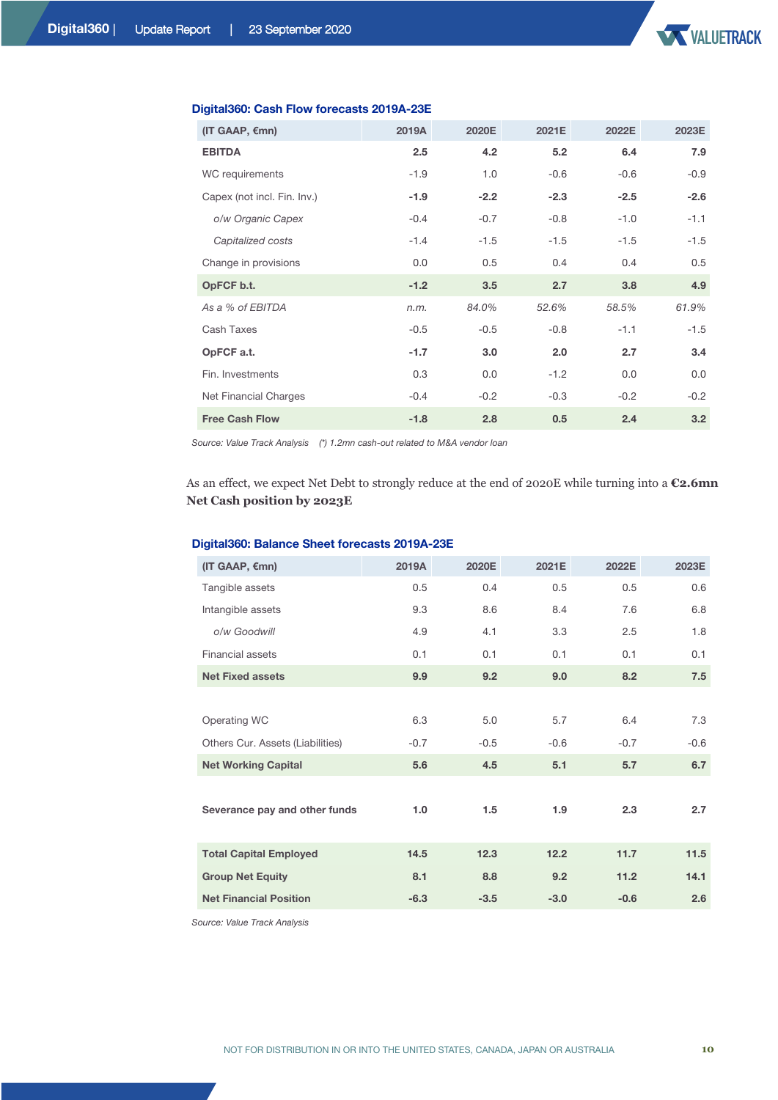

| (IT GAAP, $\varepsilon$ mn) | 2019A  | 2020E  | 2021E  | 2022E  | 2023E  |
|-----------------------------|--------|--------|--------|--------|--------|
| <b>EBITDA</b>               | 2.5    | 4.2    | 5.2    | 6.4    | 7.9    |
| WC requirements             | $-1.9$ | 1.0    | $-0.6$ | $-0.6$ | $-0.9$ |
| Capex (not incl. Fin. Inv.) | $-1.9$ | $-2.2$ | $-2.3$ | $-2.5$ | $-2.6$ |
| o/w Organic Capex           | $-0.4$ | $-0.7$ | $-0.8$ | $-1.0$ | $-1.1$ |
| Capitalized costs           | $-1.4$ | $-1.5$ | $-1.5$ | $-1.5$ | $-1.5$ |
| Change in provisions        | 0.0    | 0.5    | 0.4    | 0.4    | 0.5    |
| OpFCF b.t.                  | $-1.2$ | 3.5    | 2.7    | 3.8    | 4.9    |
| As a % of EBITDA            | n.m.   | 84.0%  | 52.6%  | 58.5%  | 61.9%  |
| Cash Taxes                  | $-0.5$ | $-0.5$ | $-0.8$ | $-1.1$ | $-1.5$ |
| OpFCF a.t.                  | $-1.7$ | 3.0    | 2.0    | 2.7    | 3.4    |
| Fin. Investments            | 0.3    | 0.0    | $-1.2$ | 0.0    | 0.0    |
| Net Financial Charges       | $-0.4$ | $-0.2$ | $-0.3$ | $-0.2$ | $-0.2$ |
| <b>Free Cash Flow</b>       | $-1.8$ | 2.8    | 0.5    | 2.4    | 3.2    |

#### **Digital360: Cash Flow forecasts 2019A-23E**

*Source: Value Track Analysis (\*) 1.2mn cash-out related to M&A vendor loan* 

As an effect, we expect Net Debt to strongly reduce at the end of 2020E while turning into a **€2.6mn Net Cash position by 2023E**

| (IT GAAP, €mn)                   | 2019A  | 2020E  | 2021E  | 2022E  | 2023E  |
|----------------------------------|--------|--------|--------|--------|--------|
| Tangible assets                  | 0.5    | 0.4    | 0.5    | 0.5    | 0.6    |
| Intangible assets                | 9.3    | 8.6    | 8.4    | 7.6    | 6.8    |
| o/w Goodwill                     | 4.9    | 4.1    | 3.3    | 2.5    | 1.8    |
| Financial assets                 | 0.1    | 0.1    | 0.1    | 0.1    | 0.1    |
| <b>Net Fixed assets</b>          | 9.9    | 9.2    | 9.0    | 8.2    | 7.5    |
|                                  |        |        |        |        |        |
| Operating WC                     | 6.3    | 5.0    | 5.7    | 6.4    | 7.3    |
| Others Cur. Assets (Liabilities) | $-0.7$ | $-0.5$ | $-0.6$ | $-0.7$ | $-0.6$ |
| <b>Net Working Capital</b>       | 5.6    | 4.5    | 5.1    | 5.7    | 6.7    |
|                                  |        |        |        |        |        |
| Severance pay and other funds    | 1.0    | 1.5    | 1.9    | 2.3    | 2.7    |
|                                  |        |        |        |        |        |
| <b>Total Capital Employed</b>    | 14.5   | 12.3   | 12.2   | 11.7   | $11.5$ |
| <b>Group Net Equity</b>          | 8.1    | 8.8    | 9.2    | 11.2   | 14.1   |
| <b>Net Financial Position</b>    | $-6.3$ | $-3.5$ | $-3.0$ | $-0.6$ | 2.6    |

#### **Digital360: Balance Sheet forecasts 2019A-23E**

*Source: Value Track Analysis*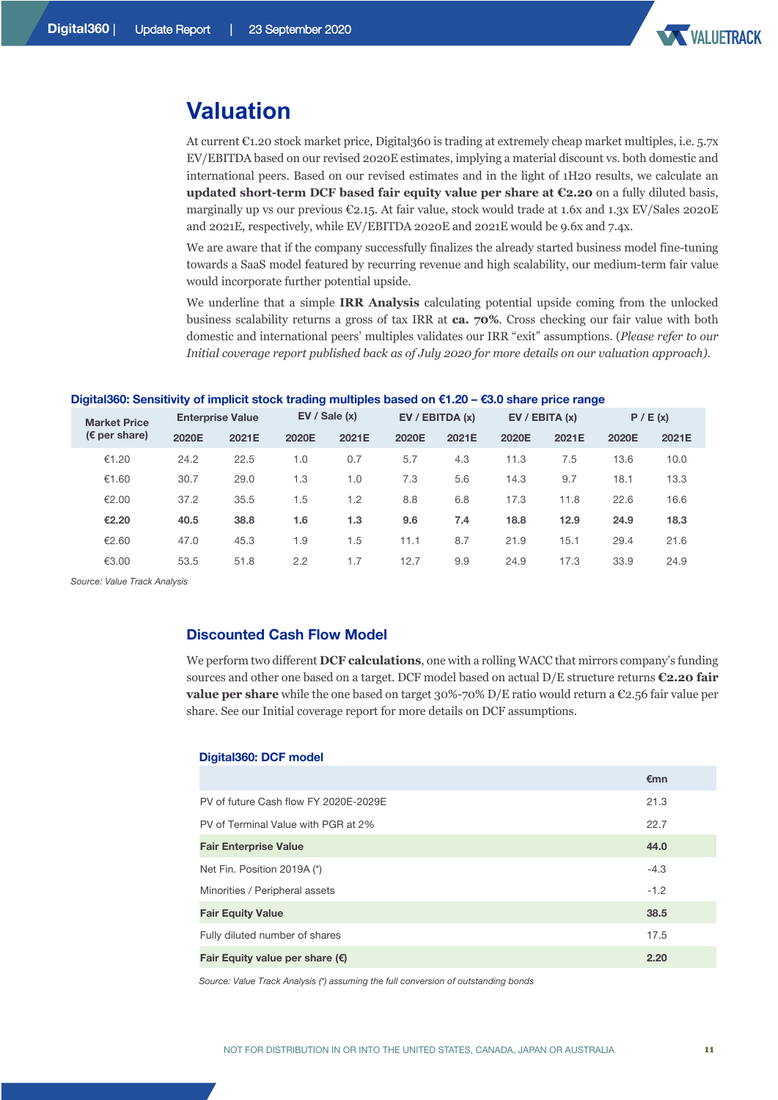

### **Valuation**

At current €1.20 stock market price, Digital360 is trading at extremely cheap market multiples, i.e. 5.7x EV/EBITDA based on our revised 2020E estimates, implying a material discount vs. both domestic and international peers. Based on our revised estimates and in the light of 1H20 results, we calculate an **updated short-term DCF based fair equity value per share at €2.20** on a fully diluted basis, marginally up vs our previous €2.15. At fair value, stock would trade at 1.6x and 1.3x EV/Sales 2020E and 2021E, respectively, while EV/EBITDA 2020E and 2021E would be 9.6x and 7.4x.

We are aware that if the company successfully finalizes the already started business model fine-tuning towards a SaaS model featured by recurring revenue and high scalability, our medium-term fair value would incorporate further potential upside.

We underline that a simple **IRR Analysis** calculating potential upside coming from the unlocked business scalability returns a gross of tax IRR at **ca. 70%**. Cross checking our fair value with both domestic and international peers' multiples validates our IRR "exit" assumptions. (*Please refer to our Initial coverage report published back as of July 2020 for more details on our valuation approach)*.

|  |  | Digital360: Sensitivity of implicit stock trading multiples based on €1.20 – €3.0 share price range |  |  |
|--|--|-----------------------------------------------------------------------------------------------------|--|--|
|--|--|-----------------------------------------------------------------------------------------------------|--|--|

| <b>Market Price</b>     |       | <b>Enterprise Value</b> |       | EV / Sale(x) |       | EV / EBITDA(x) | EV / EBITA(x) |       | P / E(x) |       |
|-------------------------|-------|-------------------------|-------|--------------|-------|----------------|---------------|-------|----------|-------|
| ( $\epsilon$ per share) | 2020E | 2021E                   | 2020E | 2021E        | 2020E | 2021E          | 2020E         | 2021E | 2020E    | 2021E |
| €1.20                   | 24.2  | 22.5                    | 1.0   | 0.7          | 5.7   | 4.3            | 11.3          | 7.5   | 13.6     | 10.0  |
| €1.60                   | 30.7  | 29.0                    | 1.3   | 1.0          | 7.3   | 5.6            | 14.3          | 9.7   | 18.1     | 13.3  |
| €2.00                   | 37.2  | 35.5                    | 1.5   | 1.2          | 8.8   | 6.8            | 17.3          | 11.8  | 22.6     | 16.6  |
| €2.20                   | 40.5  | 38.8                    | 1.6   | 1.3          | 9.6   | 7.4            | 18.8          | 12.9  | 24.9     | 18.3  |
| €2.60                   | 47.0  | 45.3                    | 1.9   | 1.5          | 11.1  | 8.7            | 21.9          | 15.1  | 29.4     | 21.6  |
| €3.00                   | 53.5  | 51.8                    | 2.2   | 1.7          | 12.7  | 9.9            | 24.9          | 17.3  | 33.9     | 24.9  |

*Source: Value Track Analysis* 

#### **Discounted Cash Flow Model**

We perform two different **DCF calculations**, one with a rolling WACC that mirrors company's funding sources and other one based on a target. DCF model based on actual D/E structure returns **€2.20 fair value per share** while the one based on target 30%-70% D/E ratio would return a €2.56 fair value per share. See our Initial coverage report for more details on DCF assumptions.

#### **Digital360: DCF model**

|                                          | €mn    |  |
|------------------------------------------|--------|--|
| PV of future Cash flow FY 2020E-2029E    | 21.3   |  |
| PV of Terminal Value with PGR at 2%      | 22.7   |  |
| <b>Fair Enterprise Value</b>             | 44.0   |  |
| Net Fin. Position 2019A (*)              | $-4.3$ |  |
| Minorities / Peripheral assets           | $-1.2$ |  |
| <b>Fair Equity Value</b>                 | 38.5   |  |
| Fully diluted number of shares           | 17.5   |  |
| Fair Equity value per share $(\epsilon)$ | 2.20   |  |
|                                          |        |  |

*Source: Value Track Analysis (\*) assuming the full conversion of outstanding bonds*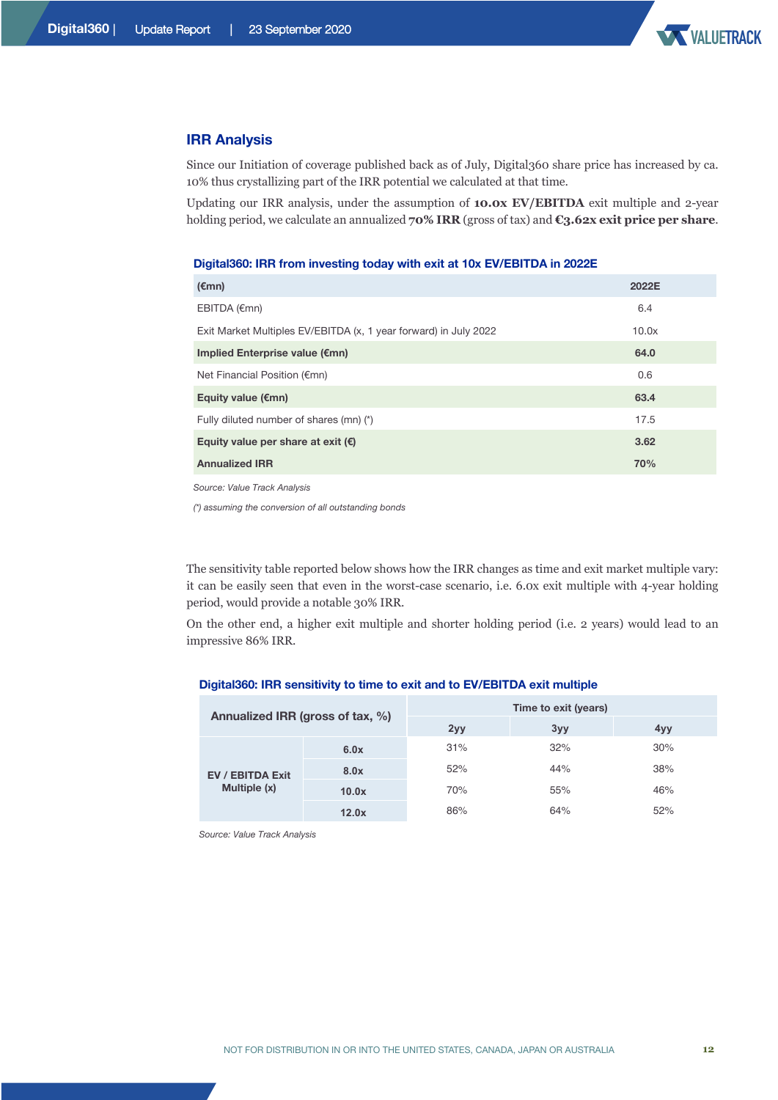

#### **IRR Analysis**

Since our Initiation of coverage published back as of July, Digital360 share price has increased by ca. 10% thus crystallizing part of the IRR potential we calculated at that time.

Updating our IRR analysis, under the assumption of **10.0x EV/EBITDA** exit multiple and 2-year holding period, we calculate an annualized **70% IRR** (gross of tax) and **€3.62x exit price per share**.

#### **Digital360: IRR from investing today with exit at 10x EV/EBITDA in 2022E**

| $(\epsilon$ mn)                                                  | 2022E |
|------------------------------------------------------------------|-------|
| EBITDA (€mn)                                                     | 6.4   |
| Exit Market Multiples EV/EBITDA (x, 1 year forward) in July 2022 | 10.0x |
| Implied Enterprise value (€mn)                                   | 64.0  |
| Net Financial Position (€mn)                                     | 0.6   |
| Equity value $(\epsilon m)$                                      | 63.4  |
| Fully diluted number of shares (mn) (*)                          | 17.5  |
| Equity value per share at exit $(\epsilon)$                      | 3.62  |
| <b>Annualized IRR</b>                                            | 70%   |
|                                                                  |       |

*Source: Value Track Analysis*

*(\*) assuming the conversion of all outstanding bonds*

The sensitivity table reported below shows how the IRR changes as time and exit market multiple vary: it can be easily seen that even in the worst-case scenario, i.e. 6.0x exit multiple with 4-year holding period, would provide a notable 30% IRR.

On the other end, a higher exit multiple and shorter holding period (i.e. 2 years) would lead to an impressive 86% IRR.

| Annualized IRR (gross of tax, %)                                          |     | Time to exit (years) |     |     |  |  |
|---------------------------------------------------------------------------|-----|----------------------|-----|-----|--|--|
|                                                                           |     | 2yy                  | 3yy | 4yy |  |  |
| 6.0x<br>8.0x<br><b>EV / EBITDA Exit</b><br>Multiple (x)<br>10.0x<br>12.0x | 31% | 32%                  | 30% |     |  |  |
|                                                                           |     | 52%                  | 44% | 38% |  |  |
|                                                                           |     | 70%                  | 55% | 46% |  |  |
|                                                                           |     | 86%                  | 64% | 52% |  |  |

#### **Digital360: IRR sensitivity to time to exit and to EV/EBITDA exit multiple**

*Source: Value Track Analysis*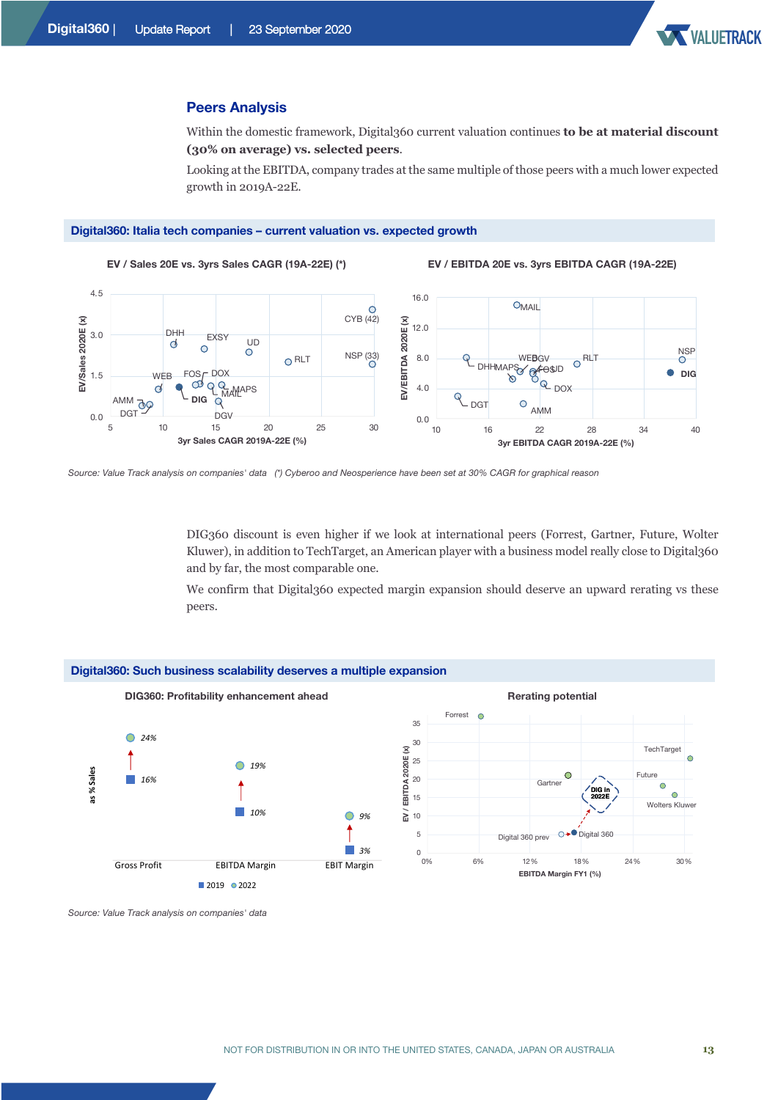

#### **Peers Analysis**

Within the domestic framework, Digital360 current valuation continues **to be at material discount (30% on average) vs. selected peers**.

Looking at the EBITDA, company trades at the same multiple of those peers with a much lower expected growth in 2019A-22E.

#### **Digital360: Italia tech companies – current valuation vs. expected growth**



**EV / Sales 20E vs. 3yrs Sales CAGR (19A-22E) (\*) EV / EBITDA 20E vs. 3yrs EBITDA CAGR (19A-22E)**



*Source: Value Track analysis on companies' data (\*) Cyberoo and Neosperience have been set at 30% CAGR for graphical reason* 

DIG360 discount is even higher if we look at international peers (Forrest, Gartner, Future, Wolter Kluwer), in addition to TechTarget, an American player with a business model really close to Digital360 and by far, the most comparable one.

We confirm that Digital360 expected margin expansion should deserve an upward rerating vs these peers.



*Source: Value Track analysis on companies' data*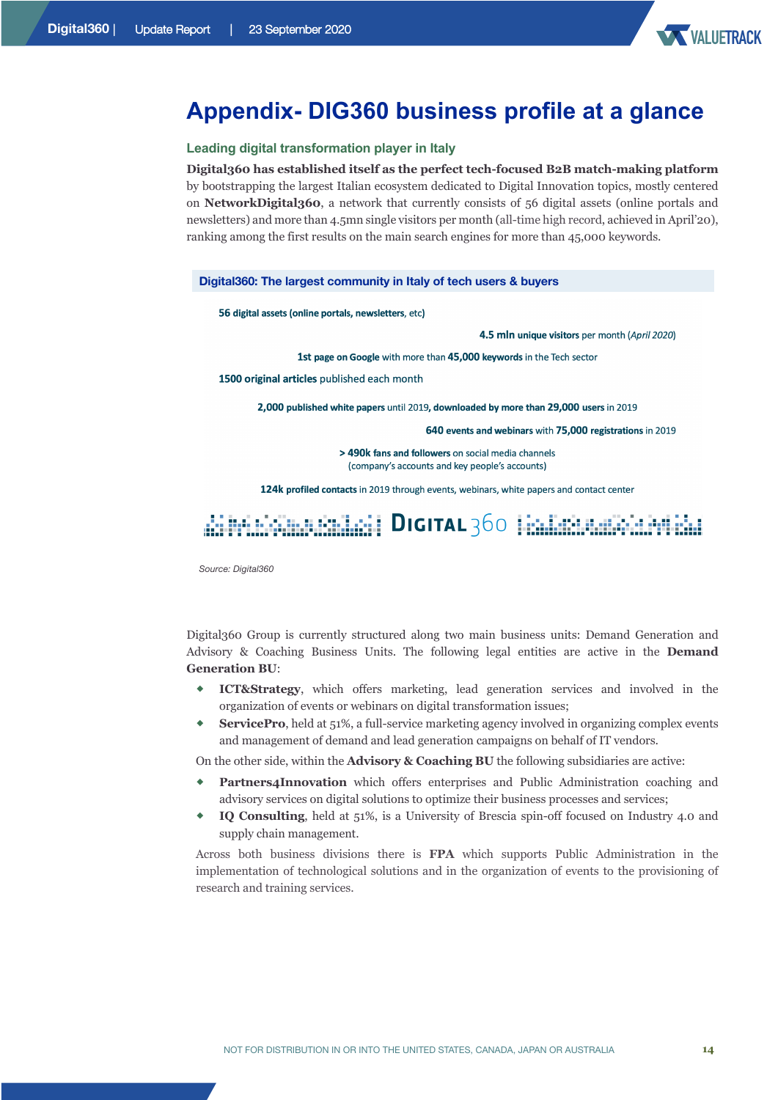

### **Appendix- DIG360 business profile at a glance**

#### **Leading digital transformation player in Italy**

**Digital360 has established itself as the perfect tech-focused B2B match-making platform** by bootstrapping the largest Italian ecosystem dedicated to Digital Innovation topics, mostly centered on **NetworkDigital360**, a network that currently consists of 56 digital assets (online portals and newsletters) and more than 4.5mn single visitors per month (all-time high record, achieved in April'20), ranking among the first results on the main search engines for more than 45,000 keywords.

#### **Digital360: The largest community in Italy of tech users & buyers**

56 digital assets (online portals, newsletters, etc)

4.5 mln unique visitors per month (April 2020)

1st page on Google with more than 45,000 keywords in the Tech sector

1500 original articles published each month

2,000 published white papers until 2019, downloaded by more than 29,000 users in 2019

640 events and webinars with 75,000 registrations in 2019

> 490k fans and followers on social media channels (company's accounts and key people's accounts)

124k profiled contacts in 2019 through events, webinars, white papers and contact center

# dii Infabriimaanilani | Drortau 360 | indianaanii intii iha

*Source: Digital360*

Digital360 Group is currently structured along two main business units: Demand Generation and Advisory & Coaching Business Units. The following legal entities are active in the **Demand Generation BU**:

- **ICT&Strategy**, which offers marketing, lead generation services and involved in the organization of events or webinars on digital transformation issues;
- **ServicePro**, held at 51%, a full-service marketing agency involved in organizing complex events and management of demand and lead generation campaigns on behalf of IT vendors.

On the other side, within the **Advisory & Coaching BU** the following subsidiaries are active:

- Partners4Innovation which offers enterprises and Public Administration coaching and advisory services on digital solutions to optimize their business processes and services;
- ® **IQ Consulting**, held at 51%, is a University of Brescia spin-off focused on Industry 4.0 and supply chain management.

Across both business divisions there is **FPA** which supports Public Administration in the implementation of technological solutions and in the organization of events to the provisioning of research and training services.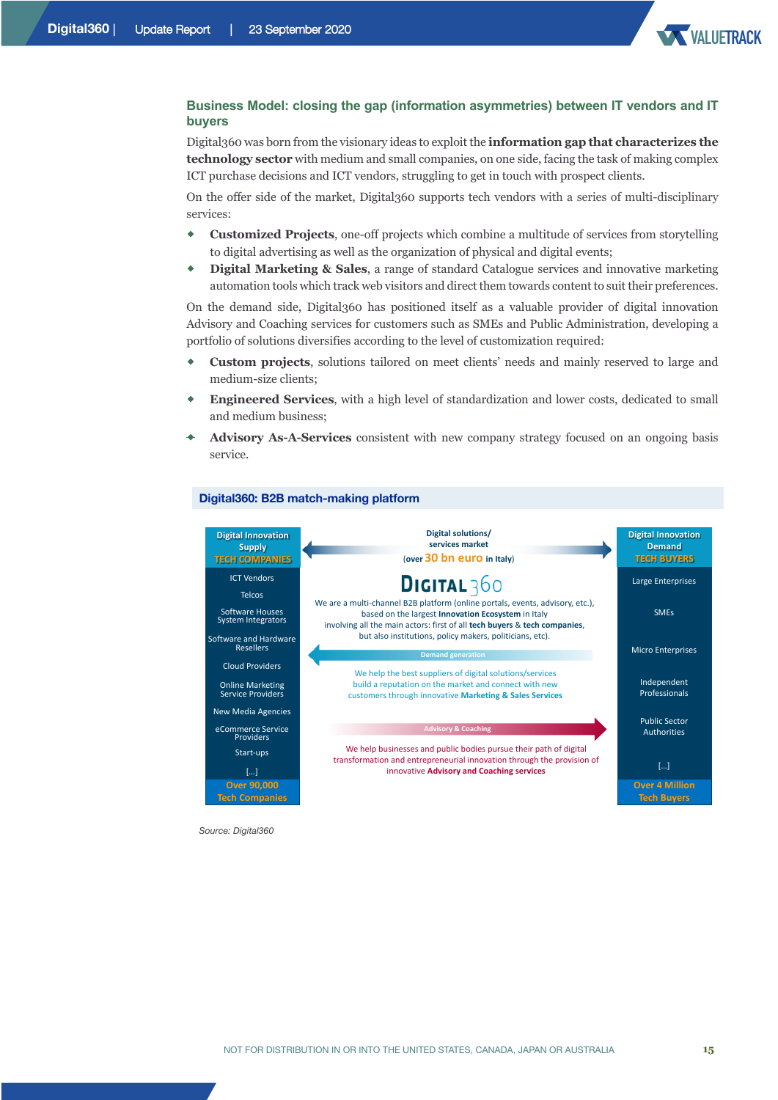

#### **Business Model: closing the gap (information asymmetries) between IT vendors and IT buyers**

Digital360 was born from the visionary ideas to exploit the **information gap that characterizes the technology sector** with medium and small companies, on one side, facing the task of making complex ICT purchase decisions and ICT vendors, struggling to get in touch with prospect clients.

On the offer side of the market, Digital360 supports tech vendors with a series of multi-disciplinary services:

- ® **Customized Projects**, one-off projects which combine a multitude of services from storytelling to digital advertising as well as the organization of physical and digital events;
- ® **Digital Marketing & Sales**, a range of standard Catalogue services and innovative marketing automation tools which track web visitors and direct them towards content to suit their preferences.

On the demand side, Digital360 has positioned itself as a valuable provider of digital innovation Advisory and Coaching services for customers such as SMEs and Public Administration, developing a portfolio of solutions diversifies according to the level of customization required:

- ® **Custom projects**, solutions tailored on meet clients' needs and mainly reserved to large and medium-size clients;
- ® **Engineered Services**, with a high level of standardization and lower costs, dedicated to small and medium business;
- Advisory As-A-Services consistent with new company strategy focused on an ongoing basis service.

#### **Digital360: B2B match-making platform**



*Source: Digital360*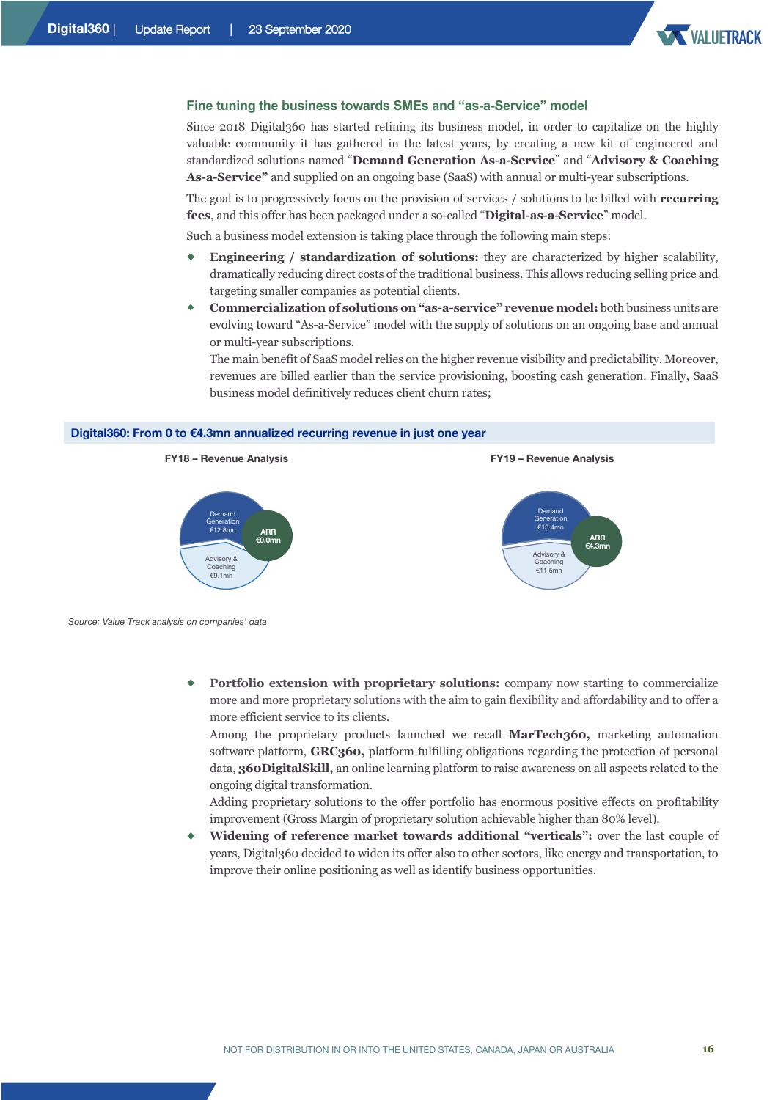

#### **Fine tuning the business towards SMEs and "as-a-Service" model**

Since 2018 Digital360 has started refining its business model, in order to capitalize on the highly valuable community it has gathered in the latest years, by creating a new kit of engineered and standardized solutions named "**Demand Generation As-a-Service**" and "**Advisory & Coaching As-a-Service"** and supplied on an ongoing base (SaaS) with annual or multi-year subscriptions.

The goal is to progressively focus on the provision of services / solutions to be billed with **recurring fees**, and this offer has been packaged under a so-called "**Digital-as-a-Service**" model.

Such a business model extension is taking place through the following main steps:

- ® **Engineering / standardization of solutions:** they are characterized by higher scalability, dramatically reducing direct costs of the traditional business. This allows reducing selling price and targeting smaller companies as potential clients.
- ® **Commercialization of solutions on "as-a-service" revenue model:** both business units are evolving toward "As-a-Service" model with the supply of solutions on an ongoing base and annual or multi-year subscriptions.

The main benefit of SaaS model relies on the higher revenue visibility and predictability. Moreover, revenues are billed earlier than the service provisioning, boosting cash generation. Finally, SaaS business model definitively reduces client churn rates;

#### **Digital360: From 0 to €4.3mn annualized recurring revenue in just one year**



*Source: Value Track analysis on companies' data*

**Portfolio extension with proprietary solutions:** company now starting to commercialize more and more proprietary solutions with the aim to gain flexibility and affordability and to offer a more efficient service to its clients.

Among the proprietary products launched we recall **MarTech360,** marketing automation software platform, **GRC360,** platform fulfilling obligations regarding the protection of personal data, **360DigitalSkill,** an online learning platform to raise awareness on all aspects related to the ongoing digital transformation.

Adding proprietary solutions to the offer portfolio has enormous positive effects on profitability improvement (Gross Margin of proprietary solution achievable higher than 80% level).

® **Widening of reference market towards additional "verticals":** over the last couple of years, Digital360 decided to widen its offer also to other sectors, like energy and transportation, to improve their online positioning as well as identify business opportunities.